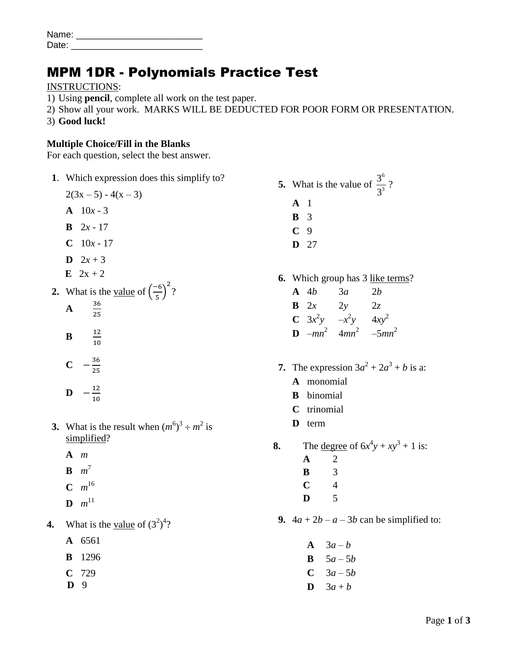| Name: |  |
|-------|--|
| Date: |  |

## MPM 1DR - Polynomials Practice Test

INSTRUCTIONS:

- 1) Using **pencil**, complete all work on the test paper.
- 2) Show all your work. MARKS WILL BE DEDUCTED FOR POOR FORM OR PRESENTATION.
- 3) **Good luck!**

## **Multiple Choice/Fill in the Blanks**

For each question, select the best answer.

**1**. Which expression does this simplify to?

 $2(3x-5) - 4(x - 3)$ 

- $A = 10x 3$
- **B**  $2x 17$
- $C = 10x 17$
- **D**  $2x + 3$
- **E**  $2x + 2$
- **2.** What is the <u>value</u> of  $\left(\frac{-\pi}{2}\right)$  $\left(\frac{-6}{5}\right)^2$ ?
	- **A** 3  $\overline{\mathbf{c}}$
	- **B**  $\mathbf{1}$  $\mathbf{1}$

$$
C \quad -\frac{36}{25}
$$

- **D**  $-\frac{1}{4}$  $\mathbf{1}$
- **3.** What is the result when  $(m^6)^3 \div m^2$  is simplified?
	- **A** *m*
	- $\mathbf{B}$   $m^7$
	- $C \, m^{16}$
	- **D**  $m^{11}$
- **4.** What is the <u>value</u> of  $(3^2)^4$ ?
	- **A** 6561
	- **B** 1296
	- **C** 729
	- **D** 9
- **5.** What is the value of 6 3 3 3 ? **A** 1 **B** 3
	- **C** 9
	- **D** 27
- **6.** Which group has 3 like terms?
	- **A** 4*b* 3*a* 2*b* **B** 2*x* 2*y* 2*z* **C**  $3x^2y - x^2y - 4xy^2$ **D**  $-mn^2$   $4mn^2$   $-5mn^2$
- **7.** The expression  $3a^2 + 2a^3 + b$  is a:
	- **A** monomial
	- **B** binomial
	- **C** trinomial
	- **D** term
- **8.** The <u>degree</u> of  $6x^4y + xy^3 + 1$  is:
	- **A** 2
	- **B** 3
	- **C** 4
	- **D** 5
- **9.**  $4a + 2b a 3b$  can be simplified to:
	- $A \quad 3a b$
	- **B**  $5a 5b$
	- $C \quad 3a 5b$
	- **D**  $3a + b$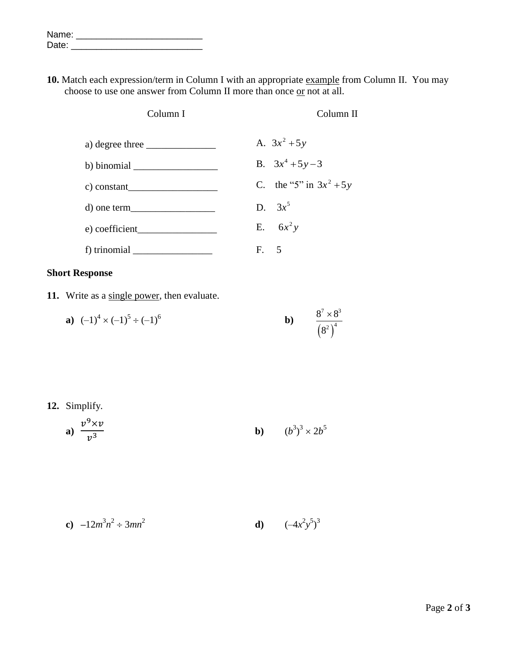| Name: |  |
|-------|--|
| Date: |  |

10. Match each expression/term in Column I with an appropriate example from Column II. You may choose to use one answer from Column II more than once  $or not at all.$ </u>

| Column I                                                                                                                                                                                                                                                                                                                                                                                                                                 | Column II                 |
|------------------------------------------------------------------------------------------------------------------------------------------------------------------------------------------------------------------------------------------------------------------------------------------------------------------------------------------------------------------------------------------------------------------------------------------|---------------------------|
| a) degree three $\frac{1}{\sqrt{1-\frac{1}{2}} \cdot \frac{1}{\sqrt{1-\frac{1}{2}} \cdot \frac{1}{\sqrt{1-\frac{1}{2}} \cdot \frac{1}{\sqrt{1-\frac{1}{2}} \cdot \frac{1}{\sqrt{1-\frac{1}{2}} \cdot \frac{1}{\sqrt{1-\frac{1}{2}} \cdot \frac{1}{\sqrt{1-\frac{1}{2}} \cdot \frac{1}{\sqrt{1-\frac{1}{2}} \cdot \frac{1}{\sqrt{1-\frac{1}{2}} \cdot \frac{1}{\sqrt{1-\frac{1}{2}} \cdot \frac{1}{\sqrt{1-\frac{1}{2}} \cdot \frac{1}{\$ | A. $3x^2 + 5y$            |
| b) binomial $\_\_$                                                                                                                                                                                                                                                                                                                                                                                                                       | B. $3x^4 + 5y - 3$        |
| c) constant                                                                                                                                                                                                                                                                                                                                                                                                                              | C. the "5" in $3x^2 + 5y$ |
| $d)$ one term                                                                                                                                                                                                                                                                                                                                                                                                                            | D. $3x^5$                 |
| $(e)$ coefficient                                                                                                                                                                                                                                                                                                                                                                                                                        | E. $6x^2y$                |
| f) trinomial $\_\_\_\_\_\_\_\_\_\_\_\_\_\_\_\_\_\_\_\_$                                                                                                                                                                                                                                                                                                                                                                                  | F. 5                      |

## **Short Response**

**11.** Write as a single power, then evaluate.

**a)** 
$$
(-1)^4 \times (-1)^5 \div (-1)^6
$$
   
**b)**  $\frac{8^7 \times 8^3}{(8^2)^4}$ 

## **12.** Simplify.

**a)** 
$$
\frac{v^9 \times v}{v^3}
$$
 **b)**  $(b^3)^3 \times 2b^5$ 

**c)** 
$$
-12m^3n^2 \div 3mn^2
$$
 **d)**  $(-4x^2y^5)^3$